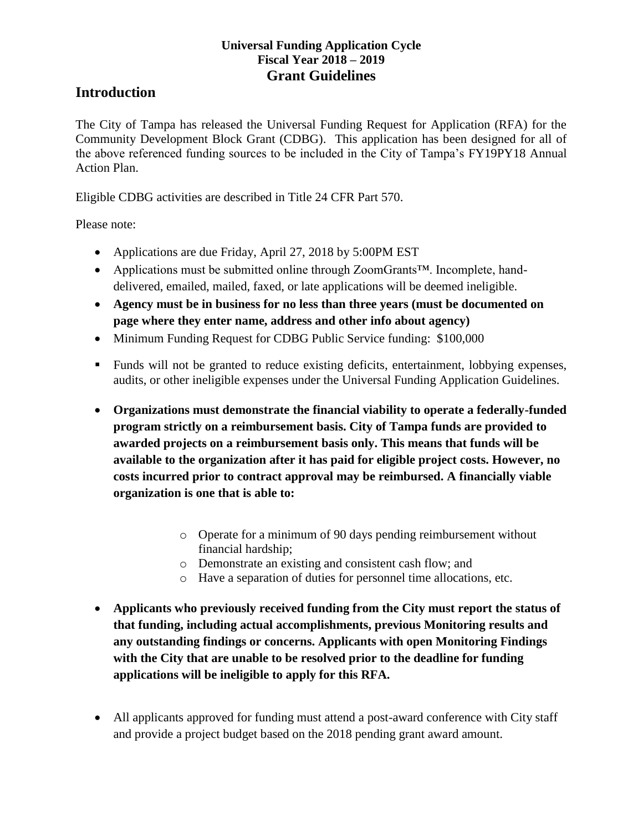### **Introduction**

The City of Tampa has released the Universal Funding Request for Application (RFA) for the Community Development Block Grant (CDBG). This application has been designed for all of the above referenced funding sources to be included in the City of Tampa's FY19PY18 Annual Action Plan.

Eligible CDBG activities are described in Title 24 CFR Part 570.

Please note:

- Applications are due Friday, April 27, 2018 by 5:00PM EST
- Applications must be submitted online through ZoomGrants™. Incomplete, handdelivered, emailed, mailed, faxed, or late applications will be deemed ineligible.
- **Agency must be in business for no less than three years (must be documented on page where they enter name, address and other info about agency)**
- Minimum Funding Request for CDBG Public Service funding: \$100,000
- Funds will not be granted to reduce existing deficits, entertainment, lobbying expenses, audits, or other ineligible expenses under the Universal Funding Application Guidelines.
- **Organizations must demonstrate the financial viability to operate a federally-funded program strictly on a reimbursement basis. City of Tampa funds are provided to awarded projects on a reimbursement basis only. This means that funds will be available to the organization after it has paid for eligible project costs. However, no costs incurred prior to contract approval may be reimbursed. A financially viable organization is one that is able to:**
	- o Operate for a minimum of 90 days pending reimbursement without financial hardship;
	- o Demonstrate an existing and consistent cash flow; and
	- o Have a separation of duties for personnel time allocations, etc.
- **Applicants who previously received funding from the City must report the status of that funding, including actual accomplishments, previous Monitoring results and any outstanding findings or concerns. Applicants with open Monitoring Findings with the City that are unable to be resolved prior to the deadline for funding applications will be ineligible to apply for this RFA.**
- All applicants approved for funding must attend a post-award conference with City staff and provide a project budget based on the 2018 pending grant award amount.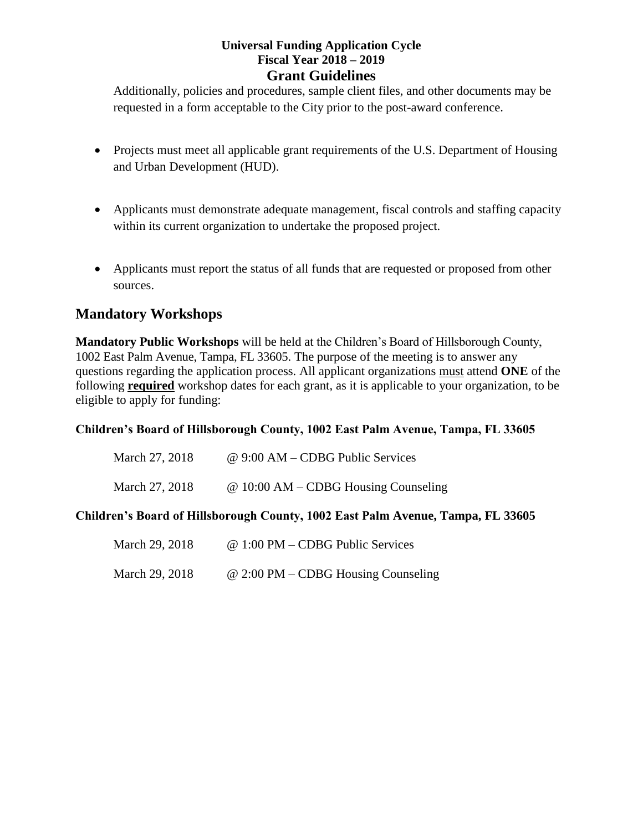Additionally, policies and procedures, sample client files, and other documents may be requested in a form acceptable to the City prior to the post-award conference.

- Projects must meet all applicable grant requirements of the U.S. Department of Housing and Urban Development (HUD).
- Applicants must demonstrate adequate management, fiscal controls and staffing capacity within its current organization to undertake the proposed project.
- Applicants must report the status of all funds that are requested or proposed from other sources.

### **Mandatory Workshops**

**Mandatory Public Workshops** will be held at the Children's Board of Hillsborough County, 1002 East Palm Avenue, Tampa, FL 33605. The purpose of the meeting is to answer any questions regarding the application process. All applicant organizations must attend **ONE** of the following **required** workshop dates for each grant, as it is applicable to your organization, to be eligible to apply for funding:

#### **Children's Board of Hillsborough County, 1002 East Palm Avenue, Tampa, FL 33605**

| March 27, 2018 | @ 9:00 AM – CDBG Public Services       |
|----------------|----------------------------------------|
| March 27, 2018 | $@ 10:00 AM - CDBG$ Housing Counseling |

#### **Children's Board of Hillsborough County, 1002 East Palm Avenue, Tampa, FL 33605**

| March 29, 2018 | $@ 1:00 PM - CDBG Public Services$    |
|----------------|---------------------------------------|
| March 29, 2018 | $@ 2:00 PM - CDBG Housing Counciling$ |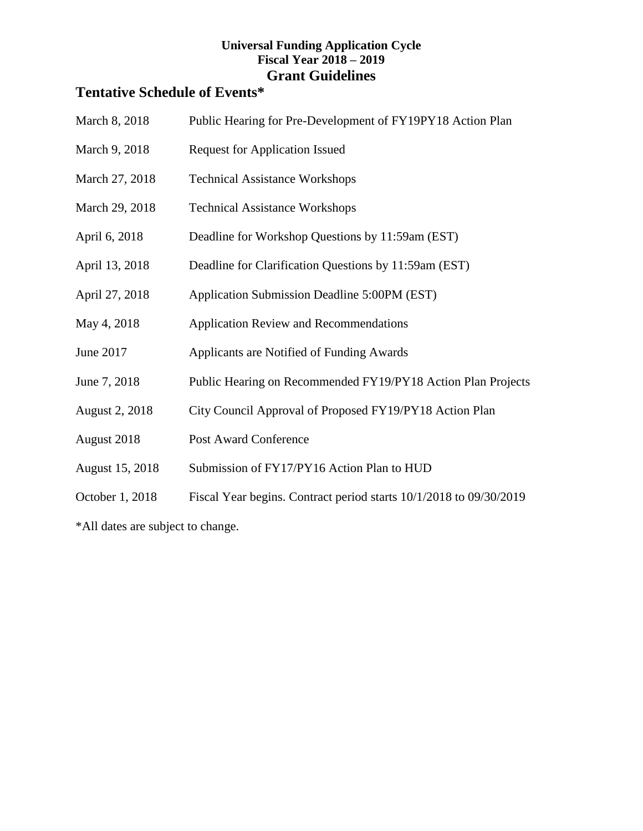# **Tentative Schedule of Events\***

| March 8, 2018   | Public Hearing for Pre-Development of FY19PY18 Action Plan         |
|-----------------|--------------------------------------------------------------------|
| March 9, 2018   | <b>Request for Application Issued</b>                              |
| March 27, 2018  | <b>Technical Assistance Workshops</b>                              |
| March 29, 2018  | <b>Technical Assistance Workshops</b>                              |
| April 6, 2018   | Deadline for Workshop Questions by 11:59am (EST)                   |
| April 13, 2018  | Deadline for Clarification Questions by 11:59am (EST)              |
| April 27, 2018  | Application Submission Deadline 5:00PM (EST)                       |
| May 4, 2018     | <b>Application Review and Recommendations</b>                      |
| June 2017       | Applicants are Notified of Funding Awards                          |
| June 7, 2018    | Public Hearing on Recommended FY19/PY18 Action Plan Projects       |
| August 2, 2018  | City Council Approval of Proposed FY19/PY18 Action Plan            |
| August 2018     | <b>Post Award Conference</b>                                       |
| August 15, 2018 | Submission of FY17/PY16 Action Plan to HUD                         |
| October 1, 2018 | Fiscal Year begins. Contract period starts 10/1/2018 to 09/30/2019 |
|                 |                                                                    |

\*All dates are subject to change.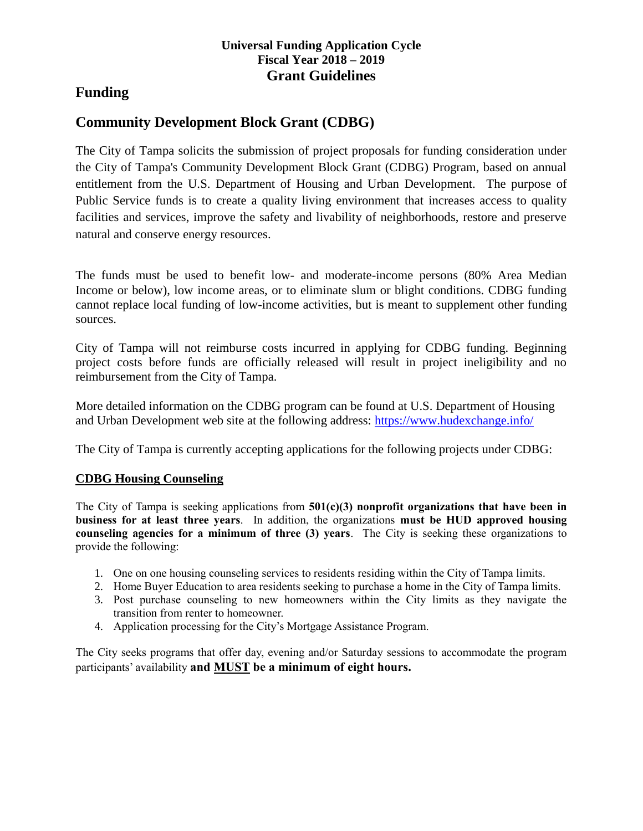### **Funding**

## **Community Development Block Grant (CDBG)**

The City of Tampa solicits the submission of project proposals for funding consideration under the City of Tampa's Community Development Block Grant (CDBG) Program, based on annual entitlement from the U.S. Department of Housing and Urban Development. The purpose of Public Service funds is to create a quality living environment that increases access to quality facilities and services, improve the safety and livability of neighborhoods, restore and preserve natural and conserve energy resources.

The funds must be used to benefit low- and moderate-income persons (80% Area Median Income or below), low income areas, or to eliminate slum or blight conditions. CDBG funding cannot replace local funding of low-income activities, but is meant to supplement other funding sources.

City of Tampa will not reimburse costs incurred in applying for CDBG funding. Beginning project costs before funds are officially released will result in project ineligibility and no reimbursement from the City of Tampa.

More detailed information on the CDBG program can be found at U.S. Department of Housing and Urban Development web site at the following address:<https://www.hudexchange.info/>

The City of Tampa is currently accepting applications for the following projects under CDBG:

#### **CDBG Housing Counseling**

The City of Tampa is seeking applications from **501(c)(3) nonprofit organizations that have been in business for at least three years**. In addition, the organizations **must be HUD approved housing counseling agencies for a minimum of three (3) years**. The City is seeking these organizations to provide the following:

- 1. One on one housing counseling services to residents residing within the City of Tampa limits.
- 2. Home Buyer Education to area residents seeking to purchase a home in the City of Tampa limits.
- 3. Post purchase counseling to new homeowners within the City limits as they navigate the transition from renter to homeowner.
- 4. Application processing for the City's Mortgage Assistance Program.

The City seeks programs that offer day, evening and/or Saturday sessions to accommodate the program participants' availability **and MUST be a minimum of eight hours.**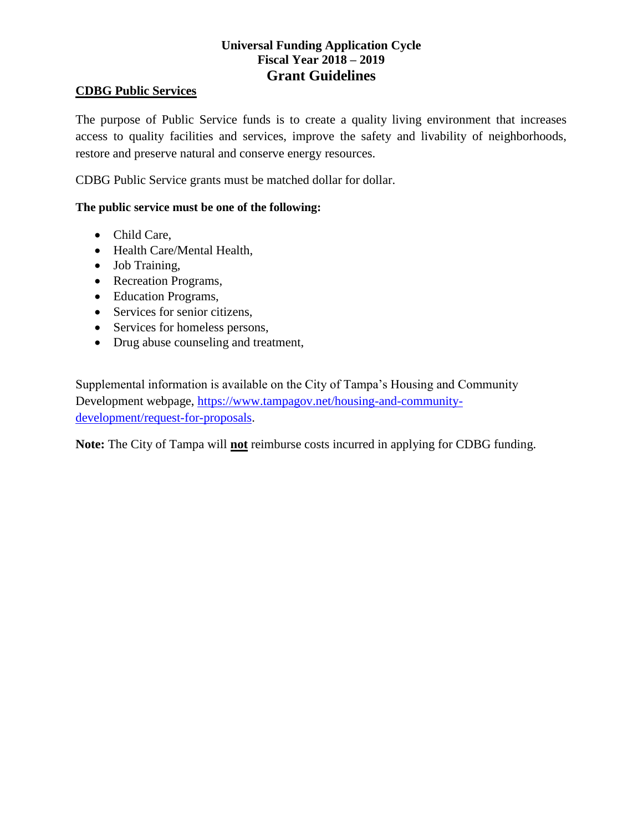#### **CDBG Public Services**

The purpose of Public Service funds is to create a quality living environment that increases access to quality facilities and services, improve the safety and livability of neighborhoods, restore and preserve natural and conserve energy resources.

CDBG Public Service grants must be matched dollar for dollar.

#### **The public service must be one of the following:**

- Child Care,
- Health Care/Mental Health,
- Job Training,
- Recreation Programs,
- Education Programs,
- Services for senior citizens,
- Services for homeless persons,
- Drug abuse counseling and treatment,

Supplemental information is available on the City of Tampa's Housing and Community Development webpage, [https://www.tampagov.net/housing-and-community](https://www.tampagov.net/housing-and-community-development/request-for-proposals)[development/request-for-proposals.](https://www.tampagov.net/housing-and-community-development/request-for-proposals)

**Note:** The City of Tampa will **not** reimburse costs incurred in applying for CDBG funding.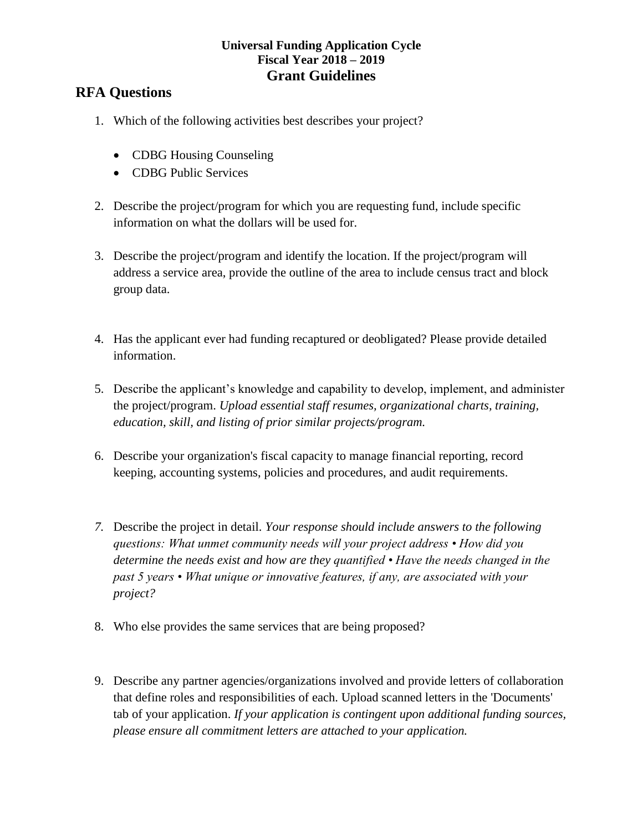### **RFA Questions**

- 1. Which of the following activities best describes your project?
	- CDBG Housing Counseling
	- CDBG Public Services
- 2. Describe the project/program for which you are requesting fund, include specific information on what the dollars will be used for.
- 3. Describe the project/program and identify the location. If the project/program will address a service area, provide the outline of the area to include census tract and block group data.
- 4. Has the applicant ever had funding recaptured or deobligated? Please provide detailed information.
- 5. Describe the applicant's knowledge and capability to develop, implement, and administer the project/program. *Upload essential staff resumes, organizational charts, training, education, skill, and listing of prior similar projects/program.*
- 6. Describe your organization's fiscal capacity to manage financial reporting, record keeping, accounting systems, policies and procedures, and audit requirements.
- *7.* Describe the project in detail. *Your response should include answers to the following questions: What unmet community needs will your project address • How did you determine the needs exist and how are they quantified • Have the needs changed in the past 5 years • What unique or innovative features, if any, are associated with your project?*
- 8. Who else provides the same services that are being proposed?
- 9. Describe any partner agencies/organizations involved and provide letters of collaboration that define roles and responsibilities of each. Upload scanned letters in the 'Documents' tab of your application. *If your application is contingent upon additional funding sources, please ensure all commitment letters are attached to your application.*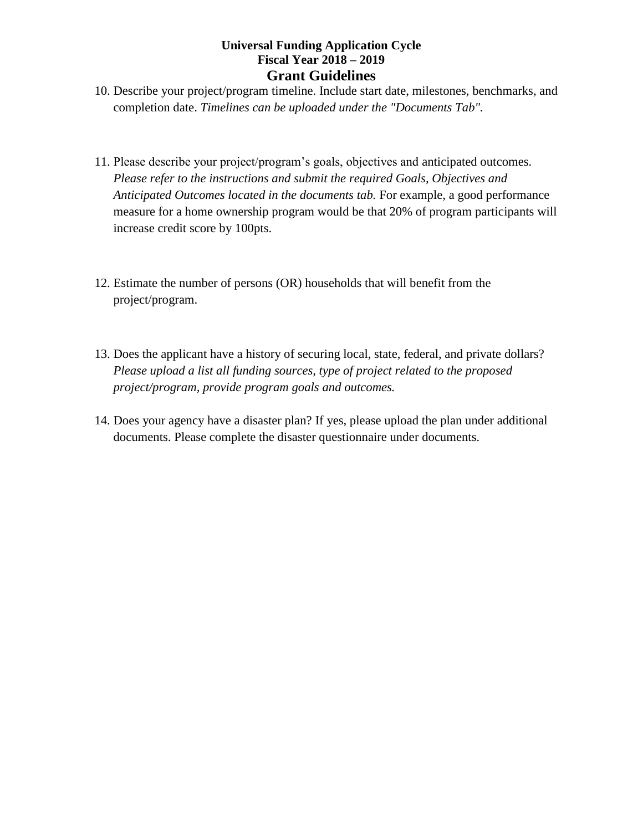- 10. Describe your project/program timeline. Include start date, milestones, benchmarks, and completion date. *Timelines can be uploaded under the "Documents Tab".*
- 11. Please describe your project/program's goals, objectives and anticipated outcomes. *Please refer to the instructions and submit the required Goals, Objectives and Anticipated Outcomes located in the documents tab.* For example, a good performance measure for a home ownership program would be that 20% of program participants will increase credit score by 100pts.
- 12. Estimate the number of persons (OR) households that will benefit from the project/program.
- 13. Does the applicant have a history of securing local, state, federal, and private dollars? *Please upload a list all funding sources, type of project related to the proposed project/program, provide program goals and outcomes.*
- 14. Does your agency have a disaster plan? If yes, please upload the plan under additional documents. Please complete the disaster questionnaire under documents.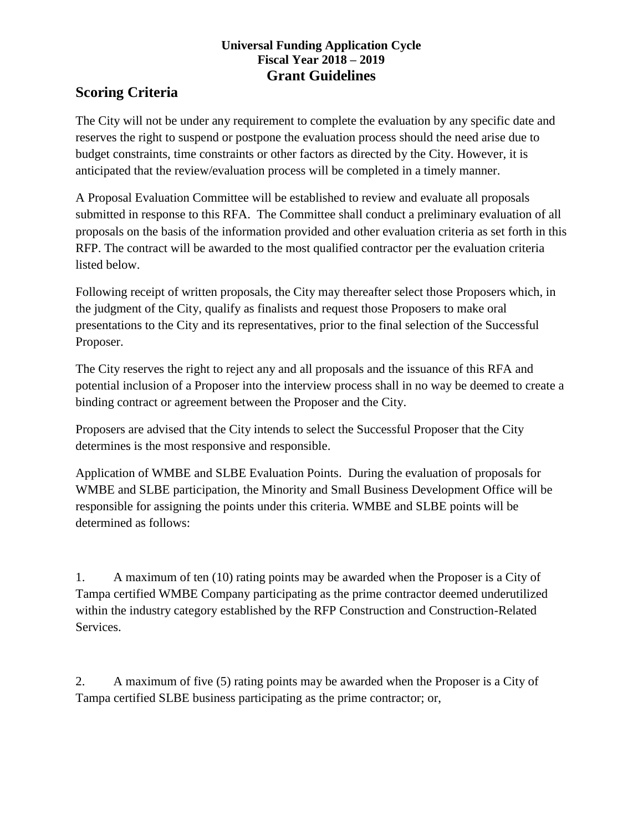## **Scoring Criteria**

The City will not be under any requirement to complete the evaluation by any specific date and reserves the right to suspend or postpone the evaluation process should the need arise due to budget constraints, time constraints or other factors as directed by the City. However, it is anticipated that the review/evaluation process will be completed in a timely manner.

A Proposal Evaluation Committee will be established to review and evaluate all proposals submitted in response to this RFA. The Committee shall conduct a preliminary evaluation of all proposals on the basis of the information provided and other evaluation criteria as set forth in this RFP. The contract will be awarded to the most qualified contractor per the evaluation criteria listed below.

Following receipt of written proposals, the City may thereafter select those Proposers which, in the judgment of the City, qualify as finalists and request those Proposers to make oral presentations to the City and its representatives, prior to the final selection of the Successful Proposer.

The City reserves the right to reject any and all proposals and the issuance of this RFA and potential inclusion of a Proposer into the interview process shall in no way be deemed to create a binding contract or agreement between the Proposer and the City.

Proposers are advised that the City intends to select the Successful Proposer that the City determines is the most responsive and responsible.

Application of WMBE and SLBE Evaluation Points. During the evaluation of proposals for WMBE and SLBE participation, the Minority and Small Business Development Office will be responsible for assigning the points under this criteria. WMBE and SLBE points will be determined as follows:

1. A maximum of ten (10) rating points may be awarded when the Proposer is a City of Tampa certified WMBE Company participating as the prime contractor deemed underutilized within the industry category established by the RFP Construction and Construction-Related Services.

2. A maximum of five (5) rating points may be awarded when the Proposer is a City of Tampa certified SLBE business participating as the prime contractor; or,